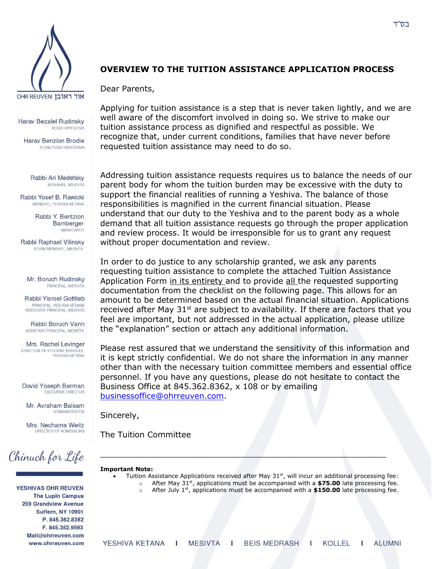

**Harav Bezalel Rudinsky** ROSH HAYESHIVA

**Harav Benzion Brodie** S'GAN ROSH HAYESHIVA

Rabbi Ari Medetsky MENAHEL, MESIVTA

Rabbi Yosef B. Rawicki MENAHEL, YESHIVA KETANA

> Rabbi Y. Bentzion Bamberger MASHGIACH

Rabbi Raphael Vilinsky S'GAN MENAHEL, MESIVTA

Mr. Boruch Rudinsky PRINCIPAL, MESIVTA

Rabbi Yisroel Gottlieb PRINCIPAL, YESHIVA KETANA ASSOCIATE PRINCIPAL, MESIVTA

Rabbi Boruch Vann ASSISTANT PRINCIPAL, MESIVTA

Mrs. Rachel Levinger DIRECTOR OF STUDENT SERVICES YESHIVA KETANA

Dovid Yoseph Berman **EXECUTIVE DIRECTOR** 

Mr. Avraham Balsam **ADMINISTRATOR** 

Mrs. Nechama Weitz DIRECTOR OF ADMISSIONS



YESHIVAS OHR REUVEN **The Lupin Campus 259 Grandview Avenue** Suffern, NY 10901 P. 845.362.8362 F. 845.352.9593 Mail@ohrreuven.com www.ohrreuven.com

## **OVERVIEW TO THE TUITION ASSISTANCE APPLICATION PROCESS**

Dear Parents,

Applying for tuition assistance is a step that is never taken lightly, and we are well aware of the discomfort involved in doing so. We strive to make our tuition assistance process as dignified and respectful as possible. We recognize that, under current conditions, families that have never before requested tuition assistance may need to do so.

Addressing tuition assistance requests requires us to balance the needs of our parent body for whom the tuition burden may be excessive with the duty to support the financial realities of running a Yeshiva. The balance of those responsibilities is magnified in the current financial situation. Please understand that our duty to the Yeshiva and to the parent body as a whole demand that all tuition assistance requests go through the proper application and review process. It would be irresponsible for us to grant any request without proper documentation and review.

In order to do justice to any scholarship granted, we ask any parents requesting tuition assistance to complete the attached Tuition Assistance Application Form in its entirety and to provide all the requested supporting documentation from the checklist on the following page. This allows for an amount to be determined based on the actual financial situation. Applications received after May  $31^{st}$  are subject to availability. If there are factors that you feel are important, but not addressed in the actual application, please utilize the "explanation" section or attach any additional information.

Please rest assured that we understand the sensitivity of this information and it is kept strictly confidential. We do not share the information in any manner other than with the necessary tuition committee members and essential office personnel. If you have any questions, please do not hesitate to contact the Business Office at 845.362.8362, x 108 or by emailing [businessoffice@ohrreuven.com.](mailto:businessoffice@ohrreuven.com)

Sincerely,

The Tuition Committee

#### **Important Note:**

 $\bullet$  Tuition Assistance Applications received after May 31<sup>st</sup>, will incur an additional processing fee: o After May 31st, applications must be accompanied with a **\$75.00** late processing fee.

\_\_\_\_\_\_\_\_\_\_\_\_\_\_\_\_\_\_\_\_\_\_\_\_\_\_\_\_\_\_\_\_\_\_\_\_\_\_\_\_\_\_\_\_\_\_\_\_\_\_\_\_\_\_\_\_\_

o After July 1st, applications must be accompanied with a **\$150.00** late processing fee.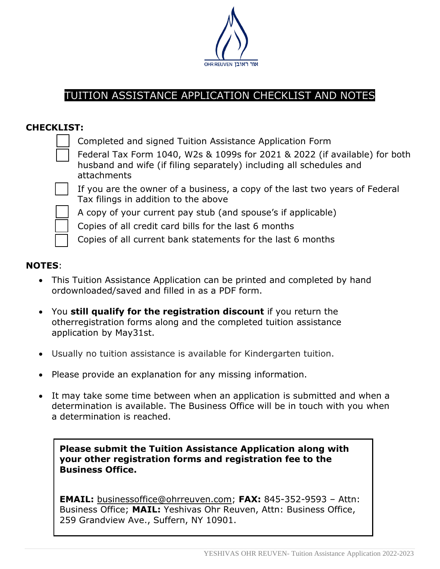

# TUITION ASSISTANCE APPLICATION CHECKLIST AND NOTES

# **CHECKLIST:**

¾ Completed and signed Tuition Assistance Application Form



If you are the owner of a business, a copy of the last two years of Federal Tax filings in addition to the above



¾ A copy of your current pay stub (and spouse's if applicable)

Copies of all credit card bills for the last 6 months

Copies of all current bank statements for the last 6 months

### **NOTES**:

- This Tuition Assistance Application can be printed and completed by hand ordownloaded/saved and filled in as a PDF form.
- You **still qualify for the registration discount** if you return the otherregistration forms along and the completed tuition assistance application by May31st.
- Usually no tuition assistance is available for Kindergarten tuition.
- Please provide an explanation for any missing information.
- It may take some time between when an application is submitted and when a determination is available. The Business Office will be in touch with you when a determination is reached.

**Please submit the Tuition Assistance Application along with your other registration forms and registration fee to the Business Office.** 

**EMAIL:** [businessoffice@ohrreuven.com;](mailto:businessoffice@darcheinoam.org) **FAX:** [845-352-9593](tel:845-352-9593) – Attn: Business Office; **MAIL:** Yeshivas Ohr Reuven, Attn: Business Office, 259 Grandview Ave., Suffern, NY 10901.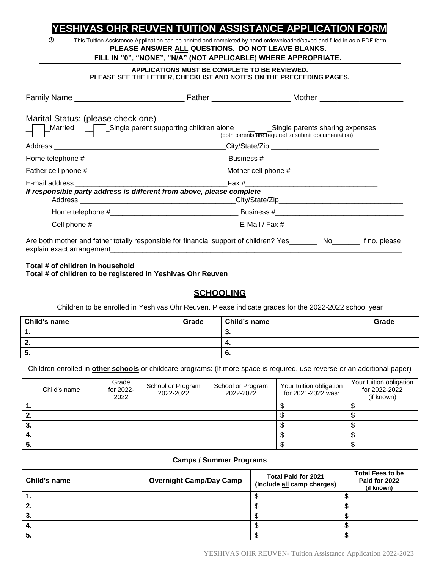# **YESHIVAS OHR REUVEN TUITION ASSISTANCE APPLICATION FORM**

 This Tuition Assistance Application can be printed and completed by hand ordownloaded/saved and filled in as a PDF form. **PLEASE ANSWER ALL QUESTIONS. DO NOT LEAVE BLANKS.** 

### **FILL IN "0", "NONE", "N/A" (NOT APPLICABLE) WHERE APPROPRIATE.**

#### **APPLICATIONS MUST BE COMPLETE TO BE REVIEWED. PLEASE SEE THE LETTER, CHECKLIST AND NOTES ON THE PRECEEDING PAGES.**

| Marital Status: (please check one)<br>Married — Single parent supporting children alone — LASingle parents sharing expenses | (both parents are required to submit documentation) |  |
|-----------------------------------------------------------------------------------------------------------------------------|-----------------------------------------------------|--|
|                                                                                                                             |                                                     |  |
|                                                                                                                             |                                                     |  |
|                                                                                                                             |                                                     |  |
|                                                                                                                             |                                                     |  |
| If responsible party address is different from above, please complete                                                       |                                                     |  |
|                                                                                                                             |                                                     |  |
|                                                                                                                             |                                                     |  |
| Are both mother and father totally responsible for financial support of children? Yes________ No_______ if no, please       |                                                     |  |

### **Total # of children in household \_\_\_\_\_\_\_\_ Total # of children to be registered in Yeshivas Ohr Reuven\_\_\_\_\_**

# **SCHOOLING**

Children to be enrolled in Yeshivas Ohr Reuven. Please indicate grades for the 2022-2022 school year

| Child's name | Grade | Child's name | Grade |
|--------------|-------|--------------|-------|
| . .          |       | J.           |       |
| - 7<br>      |       | - 4.         |       |
| . .          |       | O.           |       |

Children enrolled in **other schools** or childcare programs: (If more space is required, use reverse or an additional paper)

| Child's name | Grade<br>for 2022-<br>2022 | School or Program<br>2022-2022 | School or Program<br>2022-2022 | Your tuition obligation<br>for 2021-2022 was: | Your tuition obligation<br>for 2022-2022<br>(if known) |
|--------------|----------------------------|--------------------------------|--------------------------------|-----------------------------------------------|--------------------------------------------------------|
|              |                            |                                |                                |                                               |                                                        |
| z.           |                            |                                |                                |                                               |                                                        |
| J.           |                            |                                |                                |                                               |                                                        |
| 4.           |                            |                                |                                |                                               |                                                        |
| IJ.          |                            |                                |                                |                                               |                                                        |

### **Camps / Summer Programs**

| Child's name | <b>Overnight Camp/Day Camp</b> | <b>Total Paid for 2021</b><br>(Include all camp charges) | <b>Total Fees to be</b><br>Paid for 2022<br>(if known) |
|--------------|--------------------------------|----------------------------------------------------------|--------------------------------------------------------|
| . .          |                                |                                                          |                                                        |
| ۷.           |                                |                                                          |                                                        |
| З.           |                                |                                                          |                                                        |
|              |                                |                                                          |                                                        |
| ು.           |                                |                                                          |                                                        |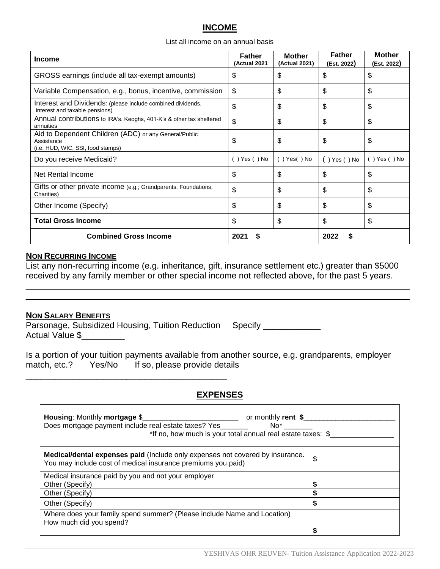### **INCOME**

#### List all income on an annual basis

| <b>Income</b>                                                                                            | <b>Father</b><br>(Actual 2021 | <b>Mother</b><br>(Actual 2021) | <b>Father</b><br>(Est. 2022) | <b>Mother</b><br>(Est. 2022) |
|----------------------------------------------------------------------------------------------------------|-------------------------------|--------------------------------|------------------------------|------------------------------|
| GROSS earnings (include all tax-exempt amounts)                                                          | \$                            | \$                             | \$                           | \$                           |
| Variable Compensation, e.g., bonus, incentive, commission                                                | \$                            | \$                             | \$                           | \$                           |
| Interest and Dividends: (please include combined dividends,<br>interest and taxable pensions)            | \$                            | \$                             | \$                           | \$                           |
| Annual contributions to IRA's. Keoghs, 401-K's & other tax sheltered<br>annuities                        | \$                            | \$                             | \$                           | \$                           |
| Aid to Dependent Children (ADC) or any General/Public<br>Assistance<br>(i.e. HUD, WIC, SSI, food stamps) | \$                            | \$                             | \$                           | \$                           |
| Do you receive Medicaid?                                                                                 | $( )$ Yes $( )$ No            | $( )$ Yes $( )$ No             | $( )$ Yes $( )$ No           | $( )$ Yes $( )$ No           |
| Net Rental Income                                                                                        | \$                            | \$                             | \$                           | \$                           |
| Gifts or other private income (e.g.; Grandparents, Foundations,<br>Charities)                            | \$                            | \$                             | \$                           | \$                           |
| Other Income (Specify)                                                                                   | \$                            | \$                             | \$                           | \$                           |
| <b>Total Gross Income</b>                                                                                | \$                            | \$                             | \$                           | \$                           |
| <b>Combined Gross Income</b>                                                                             | $202^{\circ}$                 |                                | 2022                         |                              |

### **NON RECURRING INCOME**

List any non-recurring income (e.g. inheritance, gift, insurance settlement etc.) greater than \$5000 received by any family member or other special income not reflected above, for the past 5 years.

 $\_$  , and the set of the set of the set of the set of the set of the set of the set of the set of the set of the set of the set of the set of the set of the set of the set of the set of the set of the set of the set of th  $\_$  , and the set of the set of the set of the set of the set of the set of the set of the set of the set of the set of the set of the set of the set of the set of the set of the set of the set of the set of the set of th

### **NON SALARY BENEFITS**

 $\mathsf{r}$ 

|                              | Parsonage, Subsidized Housing, Tuition Reduction Specify |  |
|------------------------------|----------------------------------------------------------|--|
| Actual Value \$ <sub>-</sub> |                                                          |  |

\_\_\_\_\_\_\_\_\_\_\_\_\_\_\_\_\_\_\_\_\_\_\_\_\_\_\_\_\_\_\_\_\_\_\_\_\_\_\_\_\_\_

Is a portion of your tuition payments available from another source, e.g. grandparents, employer match, etc.? Yes/No If so, please provide details

### **EXPENSES**

| Housing: Monthly mortgage \$<br>or monthly rent \$<br>Does mortgage payment include real estate taxes? Yes<br>*If no, how much is your total annual real estate taxes: \$ |    |
|---------------------------------------------------------------------------------------------------------------------------------------------------------------------------|----|
| <b>Medical/dental expenses paid (Include only expenses not covered by insurance.</b><br>You may include cost of medical insurance premiums you paid)                      | \$ |
| Medical insurance paid by you and not your employer                                                                                                                       |    |
| Other (Specify)                                                                                                                                                           |    |
| Other (Specify)                                                                                                                                                           |    |
| Other (Specify)                                                                                                                                                           |    |
| Where does your family spend summer? (Please include Name and Location)<br>How much did you spend?                                                                        |    |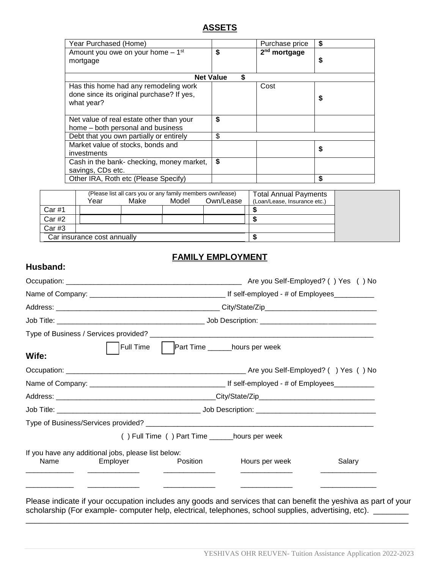### **ASSETS**

| Year Purchased (Home)                                                                            |                        | Purchase price           | \$ |
|--------------------------------------------------------------------------------------------------|------------------------|--------------------------|----|
| Amount you owe on your home - 1 <sup>st</sup><br>mortgage                                        | \$                     | 2 <sup>nd</sup> mortgage | \$ |
|                                                                                                  | \$<br><b>Net Value</b> |                          |    |
| Has this home had any remodeling work<br>done since its original purchase? If yes,<br>what year? |                        | Cost                     | S  |
| Net value of real estate other than your<br>home - both personal and business                    | \$                     |                          |    |
| Debt that you own partially or entirely                                                          | \$                     |                          |    |
| Market value of stocks, bonds and<br>investments                                                 |                        |                          | \$ |
| Cash in the bank- checking, money market,<br>savings, CDs etc.                                   | \$                     |                          |    |
| Other IRA, Roth etc (Please Specify)                                                             |                        |                          | \$ |

|                             | (Please list all cars you or any family members own/lease)<br>Model<br>Own/Lease<br>Make<br>Year |  |  | <b>Total Annual Payments</b><br>(Loan/Lease, Insurance etc.) |  |  |
|-----------------------------|--------------------------------------------------------------------------------------------------|--|--|--------------------------------------------------------------|--|--|
| Car#1                       |                                                                                                  |  |  |                                                              |  |  |
| Car #2                      |                                                                                                  |  |  |                                                              |  |  |
| Car#3                       |                                                                                                  |  |  |                                                              |  |  |
| Car insurance cost annually |                                                                                                  |  |  |                                                              |  |  |

### **FAMILY EMPLOYMENT**

### **Husband:**

|                                                     | Are you Self-Employed? () Yes () No |                                                 |                                                                                                         |                                                 |  |
|-----------------------------------------------------|-------------------------------------|-------------------------------------------------|---------------------------------------------------------------------------------------------------------|-------------------------------------------------|--|
|                                                     |                                     |                                                 |                                                                                                         |                                                 |  |
|                                                     |                                     |                                                 |                                                                                                         |                                                 |  |
|                                                     |                                     |                                                 |                                                                                                         |                                                 |  |
|                                                     |                                     |                                                 |                                                                                                         |                                                 |  |
| Wife:                                               |                                     |                                                 |                                                                                                         |                                                 |  |
|                                                     |                                     |                                                 |                                                                                                         |                                                 |  |
|                                                     |                                     |                                                 |                                                                                                         |                                                 |  |
|                                                     |                                     |                                                 |                                                                                                         |                                                 |  |
|                                                     |                                     |                                                 |                                                                                                         |                                                 |  |
|                                                     |                                     |                                                 |                                                                                                         |                                                 |  |
|                                                     |                                     | () Full Time () Part Time _______hours per week |                                                                                                         |                                                 |  |
| If you have any additional jobs, please list below: |                                     |                                                 |                                                                                                         |                                                 |  |
| Name                                                | Employer                            | Position                                        | Hours per week                                                                                          | Salary                                          |  |
|                                                     |                                     |                                                 | <u> 1980 - Johann John Stone, market francuski filozof (</u>                                            | the contract of the contract of the contract of |  |
|                                                     |                                     |                                                 |                                                                                                         |                                                 |  |
|                                                     |                                     |                                                 | Please indicate if your occupation includes any goods and services that can benefit the veshiva as part |                                                 |  |

Please indicate if your occupation includes any goods and services that can benefit the yeshiva as part of your scholarship (For example- computer help, electrical, telephones, school supplies, advertising, etc). \_\_\_\_\_\_\_\_\_ \_\_\_\_\_\_\_\_\_\_\_\_\_\_\_\_\_\_\_\_\_\_\_\_\_\_\_\_\_\_\_\_\_\_\_\_\_\_\_\_\_\_\_\_\_\_\_\_\_\_\_\_\_\_\_\_\_\_\_\_\_\_\_\_\_\_\_\_\_\_\_\_\_\_\_\_\_\_\_\_\_\_\_\_\_\_\_